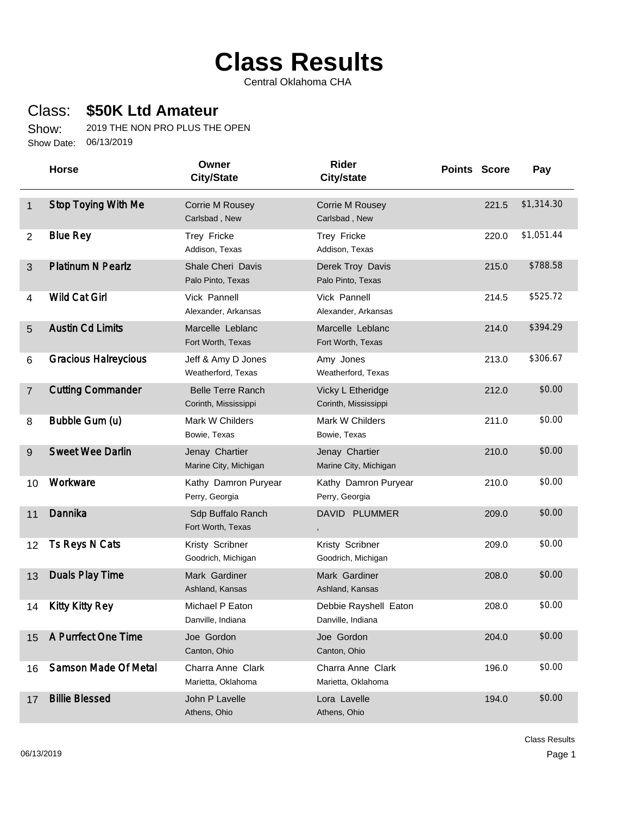## **Class Results**

Central Oklahoma CHA

## Class: **\$50K Ltd Amateur**

Show: 06/13/2019 Show Date: 2019 THE NON PRO PLUS THE OPEN

|                | <b>Horse</b>                | Owner<br><b>City/State</b>                       | Rider<br><b>City/state</b>                 | <b>Points Score</b> | Pay        |
|----------------|-----------------------------|--------------------------------------------------|--------------------------------------------|---------------------|------------|
| $\mathbf 1$    | <b>Stop Toying With Me</b>  | Corrie M Rousey<br>Carlsbad, New                 | Corrie M Rousey<br>Carlsbad, New           | 221.5               | \$1,314.30 |
| $\overline{2}$ | <b>Blue Rey</b>             | Trey Fricke<br>Addison, Texas                    | Trey Fricke<br>Addison, Texas              | 220.0               | \$1,051.44 |
| $\mathfrak{S}$ | <b>Platinum N Pearlz</b>    | <b>Shale Cheri Davis</b><br>Palo Pinto, Texas    | Derek Troy Davis<br>Palo Pinto, Texas      | 215.0               | \$788.58   |
| 4              | <b>Wild Cat Girl</b>        | Vick Pannell<br>Alexander, Arkansas              | Vick Pannell<br>Alexander, Arkansas        | 214.5               | \$525.72   |
| 5              | <b>Austin Cd Limits</b>     | Marcelle Leblanc<br>Fort Worth, Texas            | Marcelle Leblanc<br>Fort Worth, Texas      | 214.0               | \$394.29   |
| 6              | <b>Gracious Halreycious</b> | Jeff & Amy D Jones<br>Weatherford, Texas         | Amy Jones<br>Weatherford, Texas            | 213.0               | \$306.67   |
| $\overline{7}$ | <b>Cutting Commander</b>    | <b>Belle Terre Ranch</b><br>Corinth, Mississippi | Vicky L Etheridge<br>Corinth, Mississippi  | 212.0               | \$0.00     |
| 8              | Bubble Gum (u)              | Mark W Childers<br>Bowie, Texas                  | Mark W Childers<br>Bowie, Texas            | 211.0               | \$0.00     |
| 9              | <b>Sweet Wee Darlin</b>     | Jenay Chartier<br>Marine City, Michigan          | Jenay Chartier<br>Marine City, Michigan    | 210.0               | \$0.00     |
| 10             | Workware                    | Kathy Damron Puryear<br>Perry, Georgia           | Kathy Damron Puryear<br>Perry, Georgia     | 210.0               | \$0.00     |
| 11             | Dannika                     | Sdp Buffalo Ranch<br>Fort Worth, Texas           | DAVID PLUMMER                              | 209.0               | \$0.00     |
| 12             | Ts Reys N Cats              | Kristy Scribner<br>Goodrich, Michigan            | Kristy Scribner<br>Goodrich, Michigan      | 209.0               | \$0.00     |
| 13             | <b>Duals Play Time</b>      | Mark Gardiner<br>Ashland, Kansas                 | Mark Gardiner<br>Ashland, Kansas           | 208.0               | \$0.00     |
| 14             | <b>Kitty Kitty Rey</b>      | Michael P Eaton<br>Danville, Indiana             | Debbie Rayshell Eaton<br>Danville, Indiana | 208.0               | \$0.00     |
| 15             | A Purrfect One Time         | Joe Gordon<br>Canton, Ohio                       | Joe Gordon<br>Canton, Ohio                 | 204.0               | \$0.00     |
| 16             | Samson Made Of Metal        | Charra Anne Clark<br>Marietta, Oklahoma          | Charra Anne Clark<br>Marietta, Oklahoma    | 196.0               | \$0.00     |
| 17             | <b>Billie Blessed</b>       | John P Lavelle<br>Athens, Ohio                   | Lora Lavelle<br>Athens, Ohio               | 194.0               | \$0.00     |